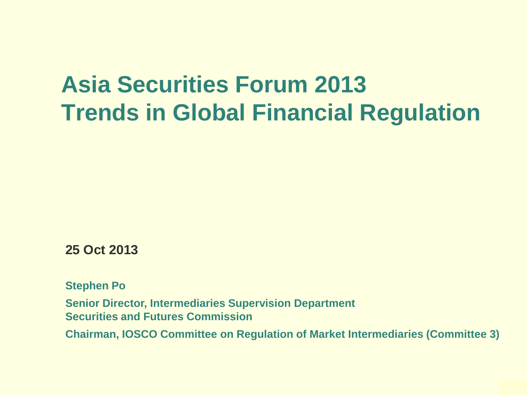#### **Asia Securities Forum 2013 Trends in Global Financial Regulation**

**25 Oct 2013**

**Stephen Po**

**Senior Director, Intermediaries Supervision Department Securities and Futures Commission**

**Chairman, IOSCO Committee on Regulation of Market Intermediaries (Committee 3)**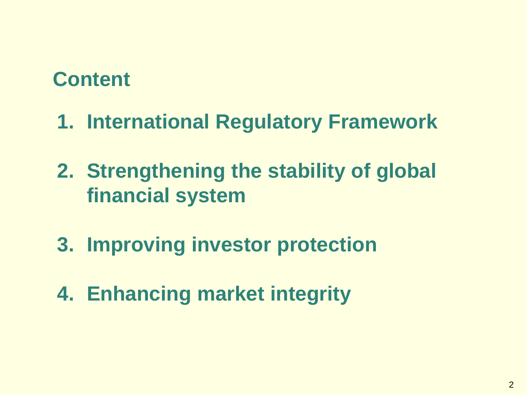#### **Content**

- **1. International Regulatory Framework**
- **2. Strengthening the stability of global financial system**
- **3. Improving investor protection**
- **4. Enhancing market integrity**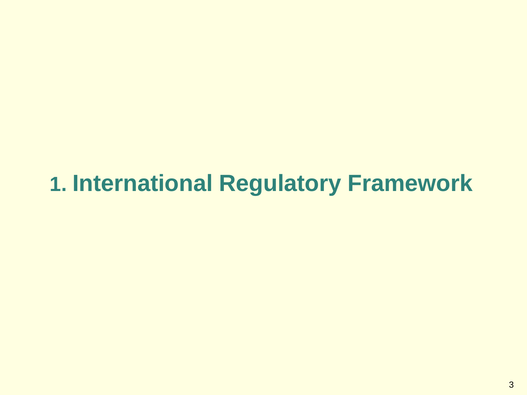#### **1. International Regulatory Framework**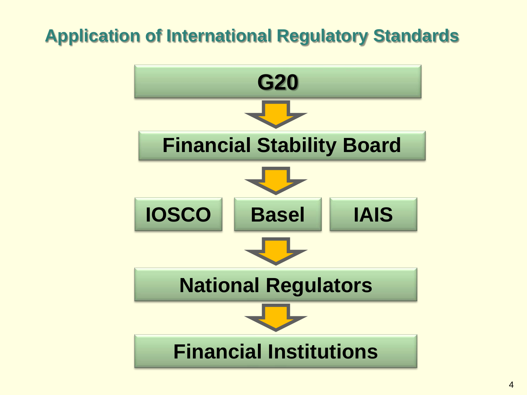#### **Application of International Regulatory Standards**

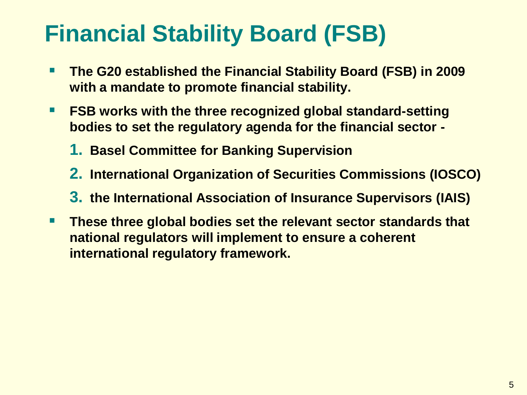#### **Financial Stability Board (FSB)**

- **The G20 established the Financial Stability Board (FSB) in 2009 with a mandate to promote financial stability.**
- FSB works with the three recognized global standard-setting **bodies to set the regulatory agenda for the financial sector -**
	- **1. Basel Committee for Banking Supervision**
	- **2. International Organization of Securities Commissions (IOSCO)**
	- **3. the International Association of Insurance Supervisors (IAIS)**
- **These three global bodies set the relevant sector standards that national regulators will implement to ensure a coherent international regulatory framework.**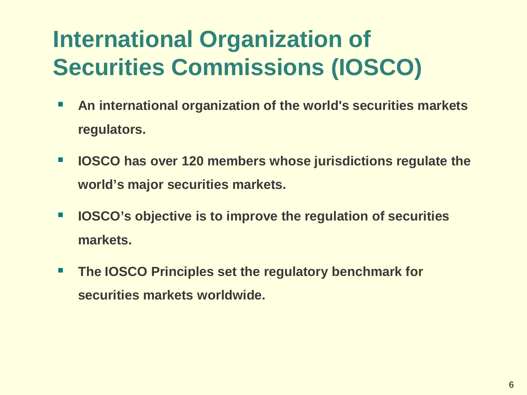## **International Organization of Securities Commissions (IOSCO)**

- **An international organization of the world's securities markets regulators.**
- **IOSCO has over 120 members whose jurisdictions regulate the world's major securities markets.**
- **IOSCO's objective is to improve the regulation of securities markets.**
- **The IOSCO Principles set the regulatory benchmark for securities markets worldwide.**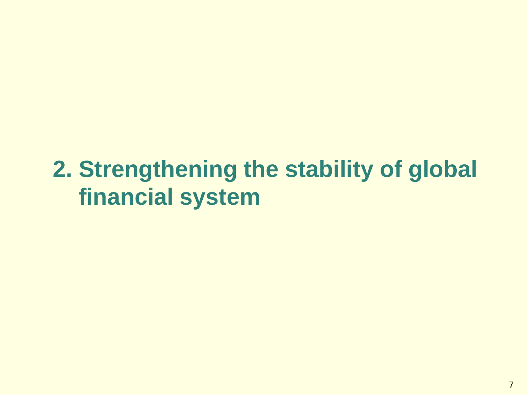#### **2. Strengthening the stability of global financial system**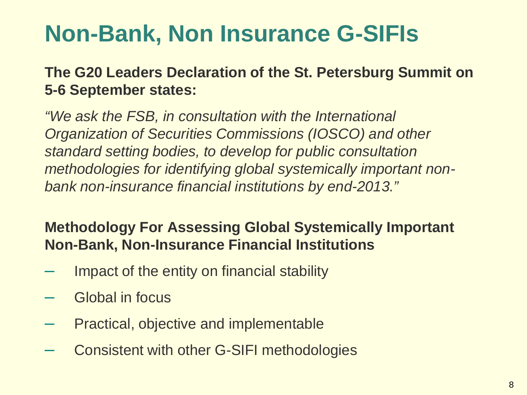#### **Non-Bank, Non Insurance G-SIFIs**

**The G20 Leaders Declaration of the St. Petersburg Summit on 5-6 September states:** 

*"We ask the FSB, in consultation with the International Organization of Securities Commissions (IOSCO) and other standard setting bodies, to develop for public consultation methodologies for identifying global systemically important nonbank non-insurance financial institutions by end-2013."* 

#### **Methodology For Assessing Global Systemically Important Non-Bank, Non-Insurance Financial Institutions**

- Impact of the entity on financial stability
- Global in focus
- Practical, objective and implementable
- Consistent with other G-SIFI methodologies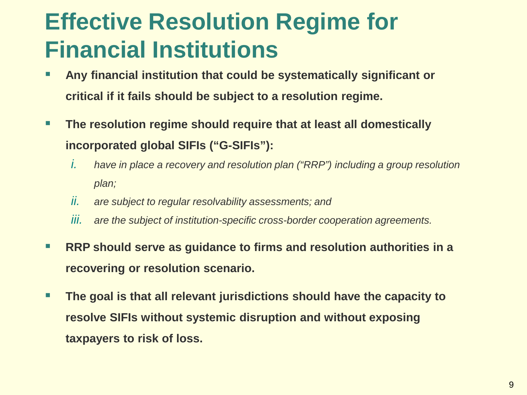#### **Effective Resolution Regime for Financial Institutions**

- **Any financial institution that could be systematically significant or critical if it fails should be subject to a resolution regime.**
- **The resolution regime should require that at least all domestically incorporated global SIFIs ("G-SIFIs"):**
	- *i. have in place a recovery and resolution plan ("RRP") including a group resolution plan;*
	- *ii. are subject to regular resolvability assessments; and*
	- *iii. are the subject of institution-specific cross-border cooperation agreements.*
- RRP should serve as guidance to firms and resolution authorities in a **recovering or resolution scenario.**
- **The goal is that all relevant jurisdictions should have the capacity to resolve SIFIs without systemic disruption and without exposing taxpayers to risk of loss.**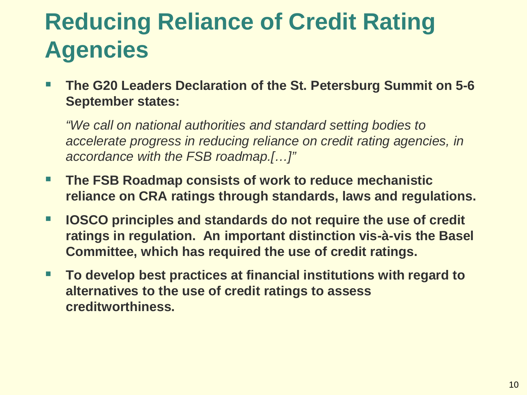#### **Reducing Reliance of Credit Rating Agencies**

 **The G20 Leaders Declaration of the St. Petersburg Summit on 5-6 September states:**

*"We call on national authorities and standard setting bodies to accelerate progress in reducing reliance on credit rating agencies, in accordance with the FSB roadmap.[…]"*

- **The FSB Roadmap consists of work to reduce mechanistic reliance on CRA ratings through standards, laws and regulations.**
- **IOSCO principles and standards do not require the use of credit ratings in regulation. An important distinction vis-à-vis the Basel Committee, which has required the use of credit ratings.**
- **To develop best practices at financial institutions with regard to alternatives to the use of credit ratings to assess creditworthiness.**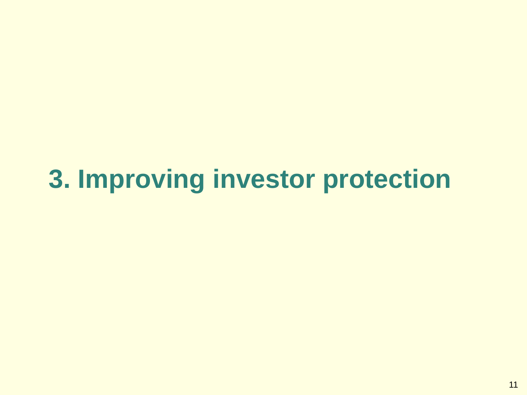# **3. Improving investor protection**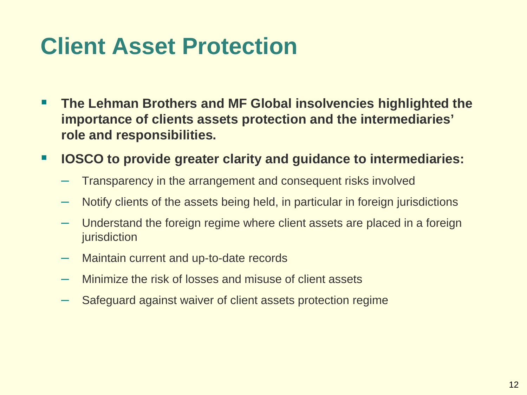#### **Client Asset Protection**

- **The Lehman Brothers and MF Global insolvencies highlighted the importance of clients assets protection and the intermediaries' role and responsibilities.**
- **IOSCO to provide greater clarity and guidance to intermediaries:**
	- Transparency in the arrangement and consequent risks involved
	- Notify clients of the assets being held, in particular in foreign jurisdictions
	- Understand the foreign regime where client assets are placed in a foreign jurisdiction
	- Maintain current and up-to-date records
	- Minimize the risk of losses and misuse of client assets
	- Safeguard against waiver of client assets protection regime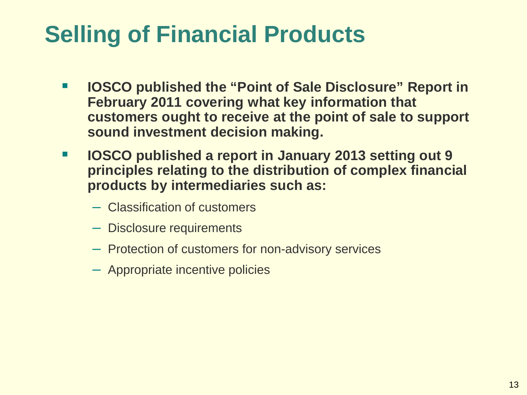### **Selling of Financial Products**

- **IOSCO published the "Point of Sale Disclosure" Report in February 2011 covering what key information that customers ought to receive at the point of sale to support sound investment decision making.**
- **IOSCO published a report in January 2013 setting out 9 principles relating to the distribution of complex financial products by intermediaries such as:**
	- Classification of customers
	- Disclosure requirements
	- Protection of customers for non-advisory services
	- Appropriate incentive policies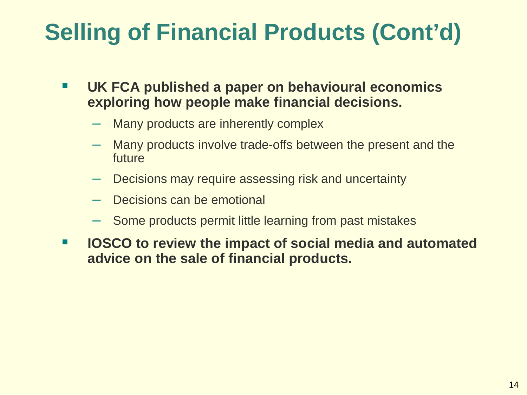## **Selling of Financial Products (Cont'd)**

- **UK FCA published a paper on behavioural economics exploring how people make financial decisions.**
	- Many products are inherently complex
	- Many products involve trade-offs between the present and the future
	- Decisions may require assessing risk and uncertainty
	- Decisions can be emotional
	- Some products permit little learning from past mistakes
- **IOSCO to review the impact of social media and automated advice on the sale of financial products.**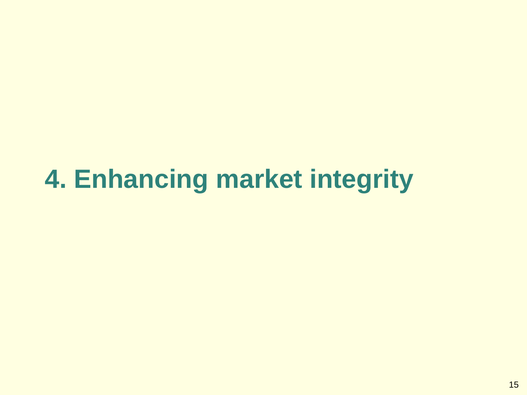# **4. Enhancing market integrity**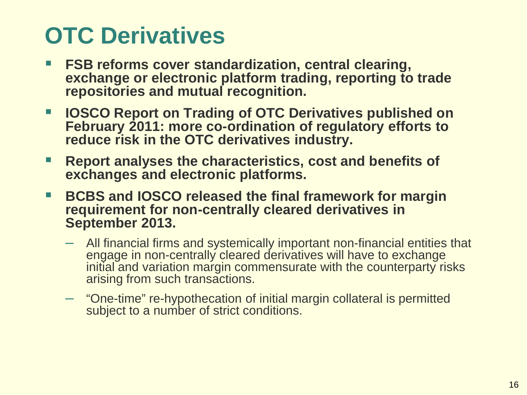## **OTC Derivatives**

- **FSB reforms cover standardization, central clearing, exchange or electronic platform trading, reporting to trade repositories and mutual recognition.**
- **IOSCO Report on Trading of OTC Derivatives published on February 2011: more co-ordination of regulatory efforts to reduce risk in the OTC derivatives industry.**
- **Report analyses the characteristics, cost and benefits of exchanges and electronic platforms.**
- BCBS and **IOSCO released the final framework for margin requirement for non-centrally cleared derivatives in September 2013.**
	- All financial firms and systemically important non-financial entities that engage in non-centrally cleared derivatives will have to exchange initial and variation margin commensurate with the counterparty risks arising from such transactions.
	- "One-time" re-hypothecation of initial margin collateral is permitted subject to a number of strict conditions.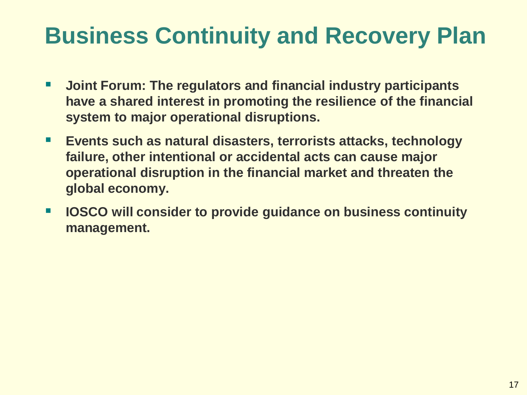#### **Business Continuity and Recovery Plan**

- **Joint Forum: The regulators and financial industry participants have a shared interest in promoting the resilience of the financial system to major operational disruptions.**
- **Events such as natural disasters, terrorists attacks, technology failure, other intentional or accidental acts can cause major operational disruption in the financial market and threaten the global economy.**
- **IOSCO will consider to provide guidance on business continuity management.**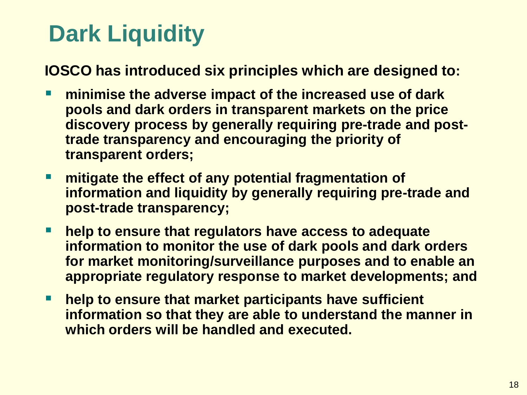#### **Dark Liquidity**

**IOSCO has introduced six principles which are designed to:** 

- **minimise the adverse impact of the increased use of dark pools and dark orders in transparent markets on the price discovery process by generally requiring pre-trade and posttrade transparency and encouraging the priority of transparent orders;**
- **mitigate the effect of any potential fragmentation of information and liquidity by generally requiring pre-trade and post-trade transparency;**
- **help to ensure that regulators have access to adequate information to monitor the use of dark pools and dark orders for market monitoring/surveillance purposes and to enable an appropriate regulatory response to market developments; and**
- help to ensure that market participants have sufficient **information so that they are able to understand the manner in which orders will be handled and executed.**